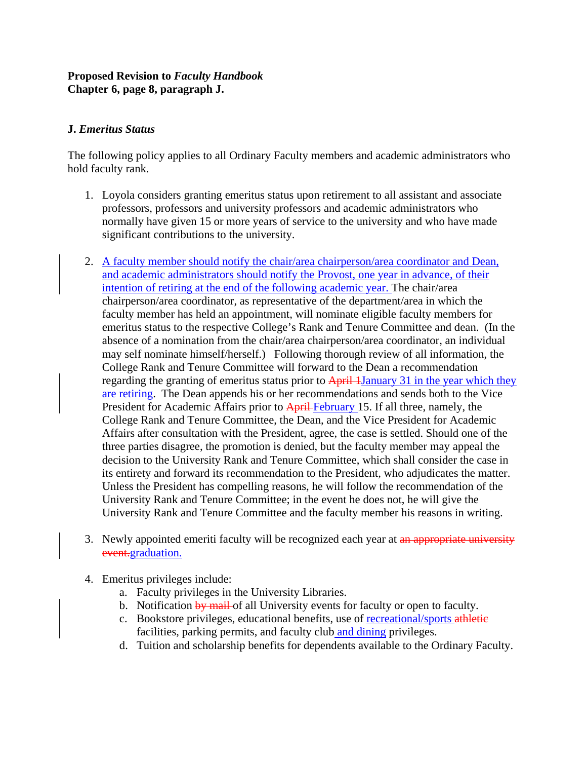## **Proposed Revision to** *Faculty Handbook* **Chapter 6, page 8, paragraph J.**

## **J.** *Emeritus Status*

The following policy applies to all Ordinary Faculty members and academic administrators who hold faculty rank.

- 1. Loyola considers granting emeritus status upon retirement to all assistant and associate professors, professors and university professors and academic administrators who normally have given 15 or more years of service to the university and who have made significant contributions to the university.
- 2. A faculty member should notify the chair/area chairperson/area coordinator and Dean, and academic administrators should notify the Provost, one year in advance, of their intention of retiring at the end of the following academic year. The chair/area chairperson/area coordinator, as representative of the department/area in which the faculty member has held an appointment, will nominate eligible faculty members for emeritus status to the respective College's Rank and Tenure Committee and dean. (In the absence of a nomination from the chair/area chairperson/area coordinator, an individual may self nominate himself/herself.) Following thorough review of all information, the College Rank and Tenure Committee will forward to the Dean a recommendation regarding the granting of emeritus status prior to April 1 January 31 in the year which they are retiring. The Dean appends his or her recommendations and sends both to the Vice President for Academic Affairs prior to April February 15. If all three, namely, the College Rank and Tenure Committee, the Dean, and the Vice President for Academic Affairs after consultation with the President, agree, the case is settled. Should one of the three parties disagree, the promotion is denied, but the faculty member may appeal the decision to the University Rank and Tenure Committee, which shall consider the case in its entirety and forward its recommendation to the President, who adjudicates the matter. Unless the President has compelling reasons, he will follow the recommendation of the University Rank and Tenure Committee; in the event he does not, he will give the University Rank and Tenure Committee and the faculty member his reasons in writing.
- 3. Newly appointed emeriti faculty will be recognized each year at an appropriate university event.graduation.
- 4. Emeritus privileges include:
	- a. Faculty privileges in the University Libraries.
	- b. Notification by mail of all University events for faculty or open to faculty.
	- c. Bookstore privileges, educational benefits, use of recreational/sports athletic facilities, parking permits, and faculty club and dining privileges.
	- d. Tuition and scholarship benefits for dependents available to the Ordinary Faculty.